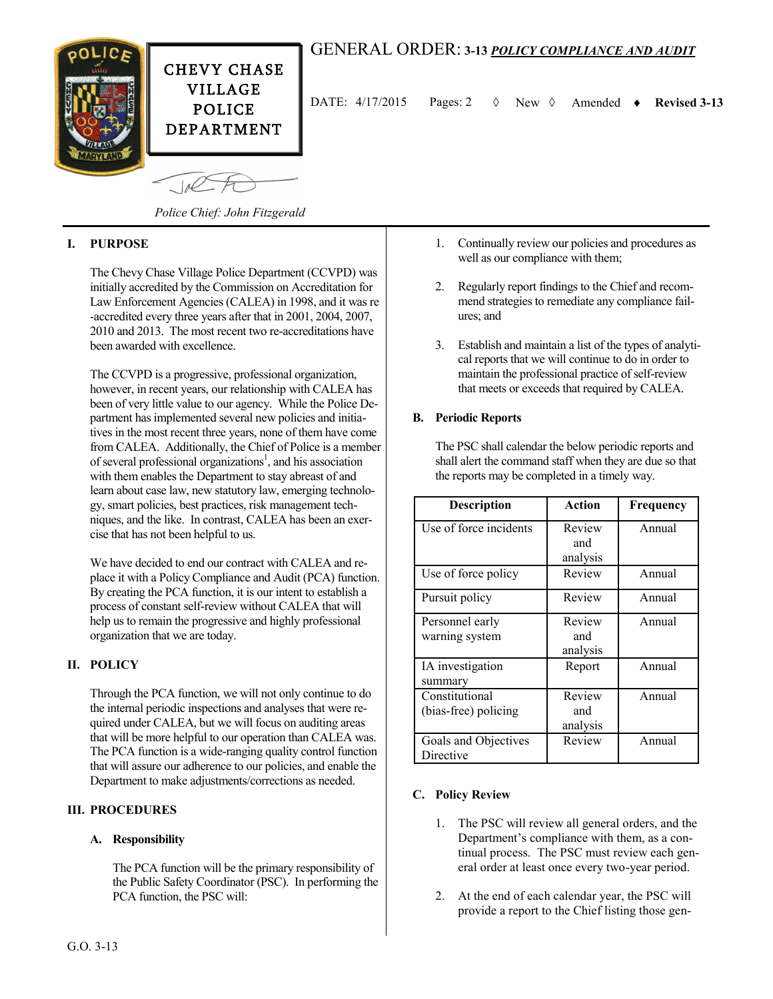

 $-10<sup>6</sup>$ 

# GENERAL ORDER: **3-13** *POLICY COMPLIANCE AND AUDIT*

DATE:  $4/17/2015$  Pages: 2  $\Diamond$  New  $\Diamond$  Amended  $\bullet$  Revised 3-13

*Police Chief: John Fitzgerald*

### **I. PURPOSE**

The Chevy Chase Village Police Department (CCVPD) was initially accredited by the Commission on Accreditation for Law Enforcement Agencies (CALEA) in 1998, and it was re -accredited every three years after that in 2001, 2004, 2007, 2010 and 2013. The most recent two re-accreditations have been awarded with excellence.

The CCVPD is a progressive, professional organization, however, in recent years, our relationship with CALEA has been of very little value to our agency. While the Police Department has implemented several new policies and initiatives in the most recent three years, none of them have come from CALEA. Additionally, the Chief of Police is a member of several professional organizations<sup>1</sup>, and his association with them enables the Department to stay abreast of and learn about case law, new statutory law, emerging technology, smart policies, best practices, risk management techniques, and the like. In contrast, CALEA has been an exercise that has not been helpful to us.

We have decided to end our contract with CALEA and replace it with a Policy Compliance and Audit (PCA) function. By creating the PCA function, it is our intent to establish a process of constant self-review without CALEA that will help us to remain the progressive and highly professional organization that we are today.

## **II. POLICY**

Through the PCA function, we will not only continue to do the internal periodic inspections and analyses that were required under CALEA, but we will focus on auditing areas that will be more helpful to our operation than CALEA was. The PCA function is a wide-ranging quality control function that will assure our adherence to our policies, and enable the Department to make adjustments/corrections as needed.

#### **III. PROCEDURES**

#### **A. Responsibility**

The PCA function will be the primary responsibility of the Public Safety Coordinator (PSC). In performing the PCA function, the PSC will:

- 1. Continually review our policies and procedures as well as our compliance with them;
- 2. Regularly report findings to the Chief and recommend strategies to remediate any compliance failures; and
- 3. Establish and maintain a list of the types of analytical reports that we will continue to do in order to maintain the professional practice of self-review that meets or exceeds that required by CALEA.

#### **B. Periodic Reports**

The PSC shall calendar the below periodic reports and shall alert the command staff when they are due so that the reports may be completed in a timely way.

| <b>Description</b>                     | Action                    | Frequency |
|----------------------------------------|---------------------------|-----------|
| Use of force incidents                 | Review<br>and<br>analysis | Annual    |
| Use of force policy                    | Review                    | Annual    |
| Pursuit policy                         | Review                    | Annual    |
| Personnel early<br>warning system      | Review<br>and<br>analysis | Annual    |
| IA investigation<br>summary            | Report                    | Annual    |
| Constitutional<br>(bias-free) policing | Review<br>and<br>analysis | Annual    |
| Goals and Objectives<br>Directive      | Review                    | Annual    |

#### **C. Policy Review**

- 1. The PSC will review all general orders, and the Department's compliance with them, as a continual process. The PSC must review each general order at least once every two-year period.
- 2. At the end of each calendar year, the PSC will provide a report to the Chief listing those gen-